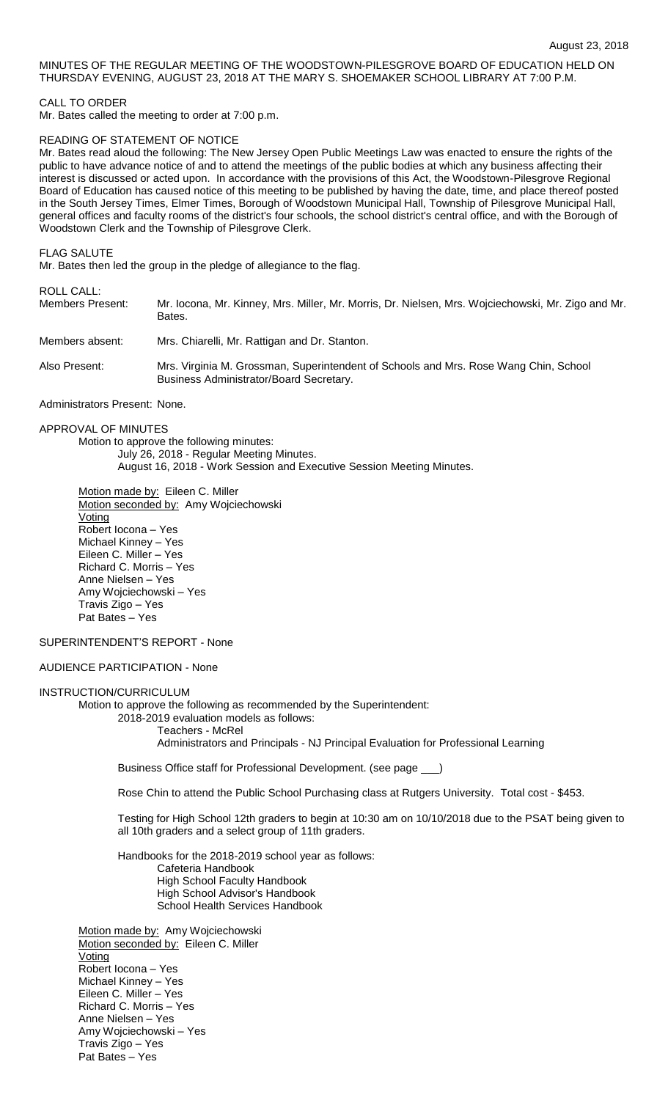# MINUTES OF THE REGULAR MEETING OF THE WOODSTOWN-PILESGROVE BOARD OF EDUCATION HELD ON THURSDAY EVENING, AUGUST 23, 2018 AT THE MARY S. SHOEMAKER SCHOOL LIBRARY AT 7:00 P.M.

## CALL TO ORDER

Mr. Bates called the meeting to order at 7:00 p.m.

## READING OF STATEMENT OF NOTICE

Mr. Bates read aloud the following: The New Jersey Open Public Meetings Law was enacted to ensure the rights of the public to have advance notice of and to attend the meetings of the public bodies at which any business affecting their interest is discussed or acted upon. In accordance with the provisions of this Act, the Woodstown-Pilesgrove Regional Board of Education has caused notice of this meeting to be published by having the date, time, and place thereof posted in the South Jersey Times, Elmer Times, Borough of Woodstown Municipal Hall, Township of Pilesgrove Municipal Hall, general offices and faculty rooms of the district's four schools, the school district's central office, and with the Borough of Woodstown Clerk and the Township of Pilesgrove Clerk.

#### FLAG SALUTE

Mr. Bates then led the group in the pledge of allegiance to the flag.

# ROLL CALL:

| <b>Members Present:</b> | Mr. locona, Mr. Kinney, Mrs. Miller, Mr. Morris, Dr. Nielsen, Mrs. Wojciechowski, Mr. Zigo and Mr. |
|-------------------------|----------------------------------------------------------------------------------------------------|
|                         | Bates.                                                                                             |
|                         |                                                                                                    |

Members absent: Mrs. Chiarelli, Mr. Rattigan and Dr. Stanton.

Also Present: Mrs. Virginia M. Grossman, Superintendent of Schools and Mrs. Rose Wang Chin, School Business Administrator/Board Secretary.

Administrators Present: None.

# APPROVAL OF MINUTES

Motion to approve the following minutes: July 26, 2018 - Regular Meeting Minutes. August 16, 2018 - Work Session and Executive Session Meeting Minutes.

Motion made by: Eileen C. Miller Motion seconded by: Amy Wojciechowski Voting Robert Iocona – Yes Michael Kinney – Yes Eileen C. Miller – Yes Richard C. Morris – Yes Anne Nielsen – Yes Amy Wojciechowski – Yes Travis Zigo – Yes Pat Bates – Yes

## SUPERINTENDENT'S REPORT - None

# AUDIENCE PARTICIPATION - None

#### INSTRUCTION/CURRICULUM

Motion to approve the following as recommended by the Superintendent:

2018-2019 evaluation models as follows:

Teachers - McRel

Administrators and Principals - NJ Principal Evaluation for Professional Learning

Business Office staff for Professional Development. (see page \_\_\_)

Rose Chin to attend the Public School Purchasing class at Rutgers University. Total cost - \$453.

Testing for High School 12th graders to begin at 10:30 am on 10/10/2018 due to the PSAT being given to all 10th graders and a select group of 11th graders.

Handbooks for the 2018-2019 school year as follows:

Cafeteria Handbook High School Faculty Handbook High School Advisor's Handbook School Health Services Handbook

Motion made by: Amy Wojciechowski Motion seconded by: Eileen C. Miller **Voting** Robert Iocona – Yes Michael Kinney – Yes Eileen C. Miller – Yes Richard C. Morris – Yes Anne Nielsen – Yes Amy Wojciechowski – Yes Travis Zigo – Yes Pat Bates – Yes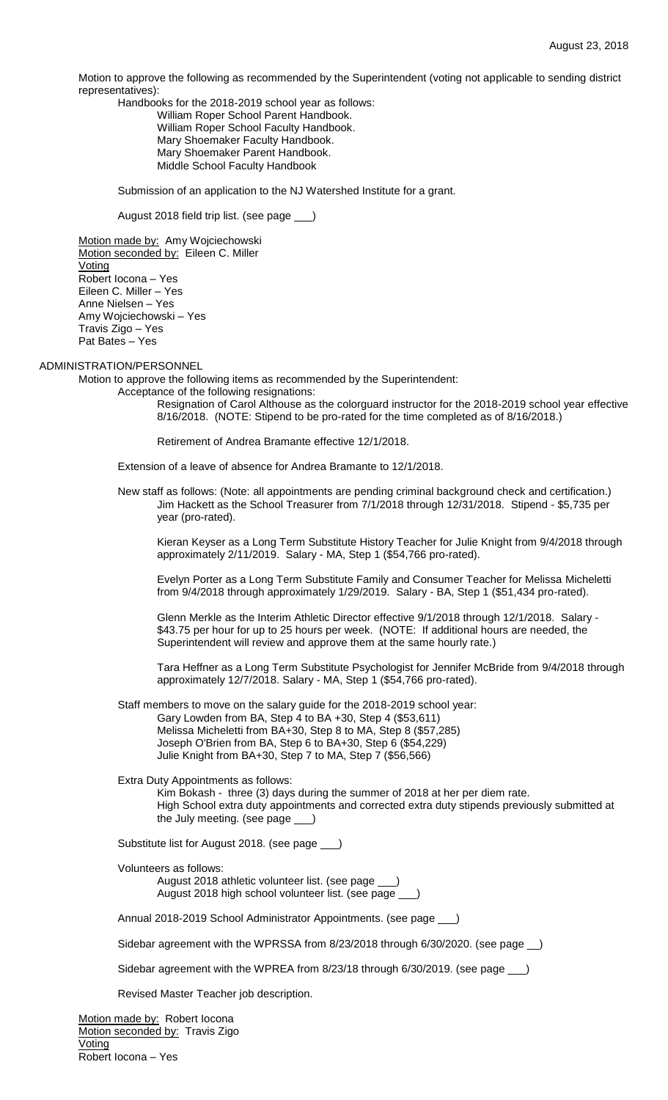Motion to approve the following as recommended by the Superintendent (voting not applicable to sending district representatives):

Handbooks for the 2018-2019 school year as follows: William Roper School Parent Handbook. William Roper School Faculty Handbook. Mary Shoemaker Faculty Handbook. Mary Shoemaker Parent Handbook. Middle School Faculty Handbook

Submission of an application to the NJ Watershed Institute for a grant.

August 2018 field trip list. (see page \_\_\_)

Motion made by: Amy Wojciechowski Motion seconded by: Eileen C. Miller **Voting** Robert Iocona – Yes Eileen C. Miller – Yes Anne Nielsen – Yes Amy Wojciechowski – Yes Travis Zigo – Yes Pat Bates – Yes

# ADMINISTRATION/PERSONNEL

Motion to approve the following items as recommended by the Superintendent:

Acceptance of the following resignations:

Resignation of Carol Althouse as the colorguard instructor for the 2018-2019 school year effective 8/16/2018. (NOTE: Stipend to be pro-rated for the time completed as of 8/16/2018.)

Retirement of Andrea Bramante effective 12/1/2018.

Extension of a leave of absence for Andrea Bramante to 12/1/2018.

New staff as follows: (Note: all appointments are pending criminal background check and certification.) Jim Hackett as the School Treasurer from 7/1/2018 through 12/31/2018. Stipend - \$5,735 per year (pro-rated).

Kieran Keyser as a Long Term Substitute History Teacher for Julie Knight from 9/4/2018 through approximately 2/11/2019. Salary - MA, Step 1 (\$54,766 pro-rated).

Evelyn Porter as a Long Term Substitute Family and Consumer Teacher for Melissa Micheletti from 9/4/2018 through approximately 1/29/2019. Salary - BA, Step 1 (\$51,434 pro-rated).

Glenn Merkle as the Interim Athletic Director effective 9/1/2018 through 12/1/2018. Salary - \$43.75 per hour for up to 25 hours per week. (NOTE: If additional hours are needed, the Superintendent will review and approve them at the same hourly rate.)

Tara Heffner as a Long Term Substitute Psychologist for Jennifer McBride from 9/4/2018 through approximately 12/7/2018. Salary - MA, Step 1 (\$54,766 pro-rated).

Staff members to move on the salary guide for the 2018-2019 school year: Gary Lowden from BA, Step 4 to BA +30, Step 4 (\$53,611) Melissa Micheletti from BA+30, Step 8 to MA, Step 8 (\$57,285) Joseph O'Brien from BA, Step 6 to BA+30, Step 6 (\$54,229) Julie Knight from BA+30, Step 7 to MA, Step 7 (\$56,566)

Extra Duty Appointments as follows:

Kim Bokash - three (3) days during the summer of 2018 at her per diem rate. High School extra duty appointments and corrected extra duty stipends previously submitted at the July meeting. (see page \_\_\_)

Substitute list for August 2018. (see page \_\_\_)

Volunteers as follows: August 2018 athletic volunteer list. (see page \_\_\_) August 2018 high school volunteer list. (see page \_\_\_)

Annual 2018-2019 School Administrator Appointments. (see page \_\_\_)

Sidebar agreement with the WPRSSA from 8/23/2018 through 6/30/2020. (see page \_\_)

Sidebar agreement with the WPREA from 8/23/18 through 6/30/2019. (see page \_\_\_)

Revised Master Teacher job description.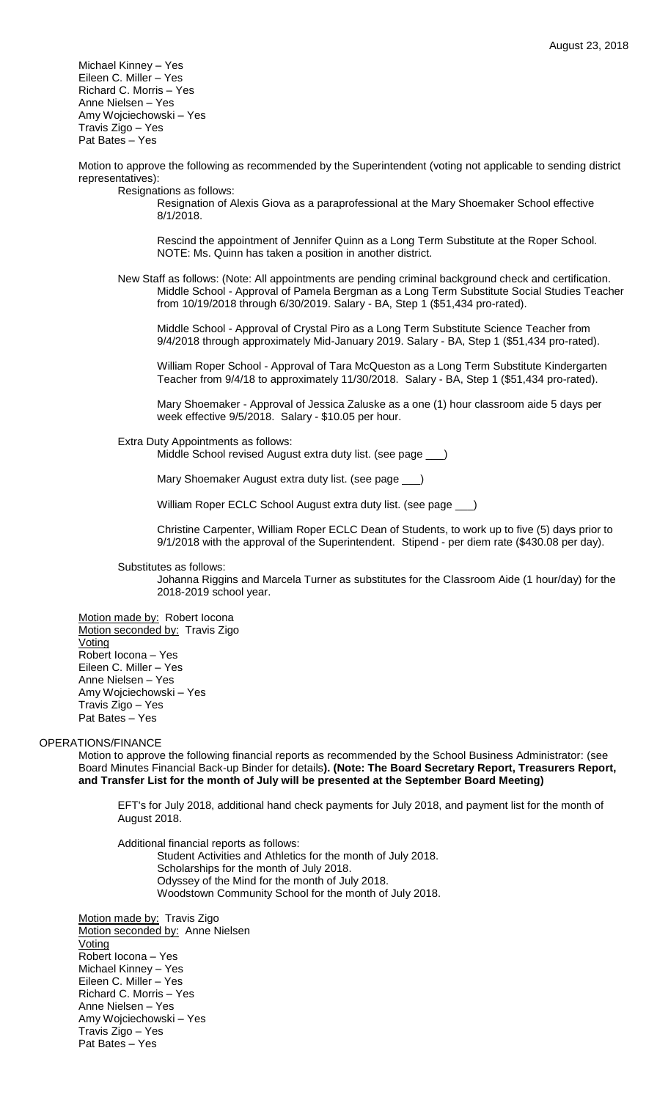Michael Kinney – Yes Eileen C. Miller – Yes Richard C. Morris – Yes Anne Nielsen – Yes Amy Wojciechowski – Yes Travis Zigo – Yes Pat Bates – Yes

Motion to approve the following as recommended by the Superintendent (voting not applicable to sending district representatives):

Resignations as follows:

Resignation of Alexis Giova as a paraprofessional at the Mary Shoemaker School effective 8/1/2018.

Rescind the appointment of Jennifer Quinn as a Long Term Substitute at the Roper School. NOTE: Ms. Quinn has taken a position in another district.

New Staff as follows: (Note: All appointments are pending criminal background check and certification. Middle School - Approval of Pamela Bergman as a Long Term Substitute Social Studies Teacher from 10/19/2018 through 6/30/2019. Salary - BA, Step 1 (\$51,434 pro-rated).

Middle School - Approval of Crystal Piro as a Long Term Substitute Science Teacher from 9/4/2018 through approximately Mid-January 2019. Salary - BA, Step 1 (\$51,434 pro-rated).

William Roper School - Approval of Tara McQueston as a Long Term Substitute Kindergarten Teacher from 9/4/18 to approximately 11/30/2018. Salary - BA, Step 1 (\$51,434 pro-rated).

Mary Shoemaker - Approval of Jessica Zaluske as a one (1) hour classroom aide 5 days per week effective 9/5/2018. Salary - \$10.05 per hour.

Extra Duty Appointments as follows:

Middle School revised August extra duty list. (see page \_\_\_)

Mary Shoemaker August extra duty list. (see page \_\_\_)

William Roper ECLC School August extra duty list. (see page \_\_\_)

Christine Carpenter, William Roper ECLC Dean of Students, to work up to five (5) days prior to 9/1/2018 with the approval of the Superintendent. Stipend - per diem rate (\$430.08 per day).

Substitutes as follows:

Johanna Riggins and Marcela Turner as substitutes for the Classroom Aide (1 hour/day) for the 2018-2019 school year.

Motion made by: Robert locona Motion seconded by: Travis Zigo **Voting** Robert Iocona – Yes Eileen C. Miller – Yes Anne Nielsen – Yes Amy Wojciechowski – Yes Travis Zigo – Yes Pat Bates – Yes

# OPERATIONS/FINANCE

Motion to approve the following financial reports as recommended by the School Business Administrator: (see Board Minutes Financial Back-up Binder for details**). (Note: The Board Secretary Report, Treasurers Report, and Transfer List for the month of July will be presented at the September Board Meeting)**

EFT's for July 2018, additional hand check payments for July 2018, and payment list for the month of August 2018.

Additional financial reports as follows: Student Activities and Athletics for the month of July 2018. Scholarships for the month of July 2018. Odyssey of the Mind for the month of July 2018. Woodstown Community School for the month of July 2018.

Motion made by: Travis Zigo Motion seconded by: Anne Nielsen Voting Robert Iocona – Yes Michael Kinney – Yes Eileen C. Miller – Yes Richard C. Morris – Yes Anne Nielsen – Yes Amy Wojciechowski – Yes Travis Zigo – Yes Pat Bates – Yes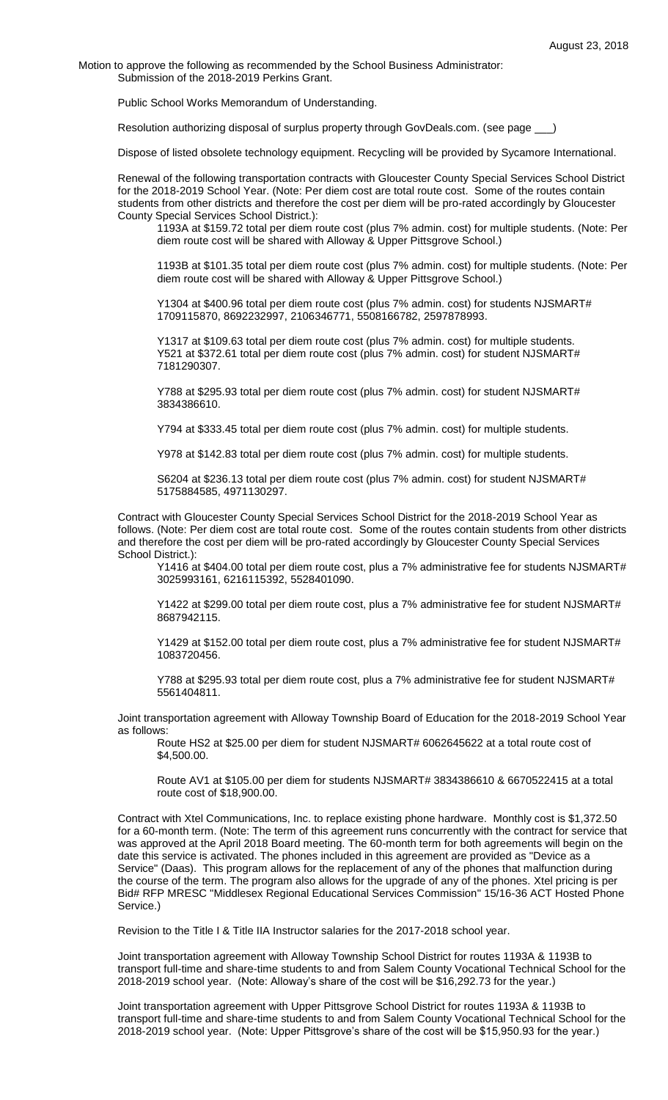Motion to approve the following as recommended by the School Business Administrator: Submission of the 2018-2019 Perkins Grant.

Public School Works Memorandum of Understanding.

Resolution authorizing disposal of surplus property through GovDeals.com. (see page \_

Dispose of listed obsolete technology equipment. Recycling will be provided by Sycamore International.

Renewal of the following transportation contracts with Gloucester County Special Services School District for the 2018-2019 School Year. (Note: Per diem cost are total route cost. Some of the routes contain students from other districts and therefore the cost per diem will be pro-rated accordingly by Gloucester County Special Services School District.):

1193A at \$159.72 total per diem route cost (plus 7% admin. cost) for multiple students. (Note: Per diem route cost will be shared with Alloway & Upper Pittsgrove School.)

1193B at \$101.35 total per diem route cost (plus 7% admin. cost) for multiple students. (Note: Per diem route cost will be shared with Alloway & Upper Pittsgrove School.)

Y1304 at \$400.96 total per diem route cost (plus 7% admin. cost) for students NJSMART# 1709115870, 8692232997, 2106346771, 5508166782, 2597878993.

Y1317 at \$109.63 total per diem route cost (plus 7% admin. cost) for multiple students. Y521 at \$372.61 total per diem route cost (plus 7% admin. cost) for student NJSMART# 7181290307.

Y788 at \$295.93 total per diem route cost (plus 7% admin. cost) for student NJSMART# 3834386610.

Y794 at \$333.45 total per diem route cost (plus 7% admin. cost) for multiple students.

Y978 at \$142.83 total per diem route cost (plus 7% admin. cost) for multiple students.

S6204 at \$236.13 total per diem route cost (plus 7% admin. cost) for student NJSMART# 5175884585, 4971130297.

Contract with Gloucester County Special Services School District for the 2018-2019 School Year as follows. (Note: Per diem cost are total route cost. Some of the routes contain students from other districts and therefore the cost per diem will be pro-rated accordingly by Gloucester County Special Services School District.):

Y1416 at \$404.00 total per diem route cost, plus a 7% administrative fee for students NJSMART# 3025993161, 6216115392, 5528401090.

Y1422 at \$299.00 total per diem route cost, plus a 7% administrative fee for student NJSMART# 8687942115.

Y1429 at \$152.00 total per diem route cost, plus a 7% administrative fee for student NJSMART# 1083720456.

Y788 at \$295.93 total per diem route cost, plus a 7% administrative fee for student NJSMART# 5561404811.

Joint transportation agreement with Alloway Township Board of Education for the 2018-2019 School Year as follows:

Route HS2 at \$25.00 per diem for student NJSMART# 6062645622 at a total route cost of \$4,500.00.

Route AV1 at \$105.00 per diem for students NJSMART# 3834386610 & 6670522415 at a total route cost of \$18,900.00.

Contract with Xtel Communications, Inc. to replace existing phone hardware. Monthly cost is \$1,372.50 for a 60-month term. (Note: The term of this agreement runs concurrently with the contract for service that was approved at the April 2018 Board meeting. The 60-month term for both agreements will begin on the date this service is activated. The phones included in this agreement are provided as "Device as a Service" (Daas). This program allows for the replacement of any of the phones that malfunction during the course of the term. The program also allows for the upgrade of any of the phones. Xtel pricing is per Bid# RFP MRESC "Middlesex Regional Educational Services Commission" 15/16-36 ACT Hosted Phone Service.)

Revision to the Title I & Title IIA Instructor salaries for the 2017-2018 school year.

Joint transportation agreement with Alloway Township School District for routes 1193A & 1193B to transport full-time and share-time students to and from Salem County Vocational Technical School for the 2018-2019 school year. (Note: Alloway's share of the cost will be \$16,292.73 for the year.)

Joint transportation agreement with Upper Pittsgrove School District for routes 1193A & 1193B to transport full-time and share-time students to and from Salem County Vocational Technical School for the 2018-2019 school year. (Note: Upper Pittsgrove's share of the cost will be \$15,950.93 for the year.)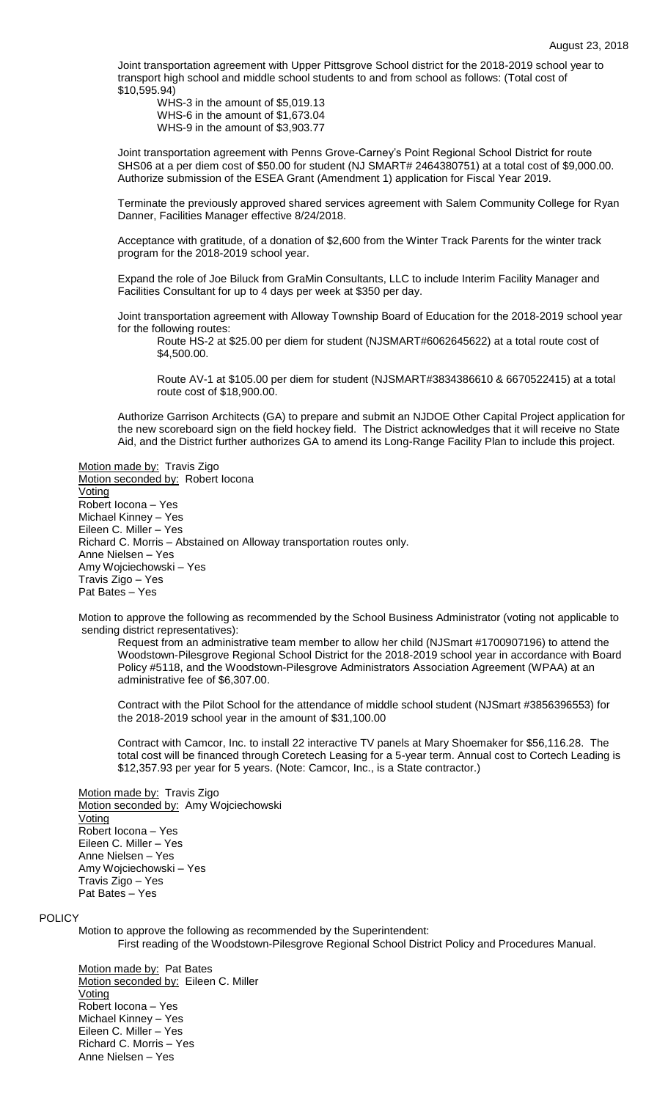Joint transportation agreement with Upper Pittsgrove School district for the 2018-2019 school year to transport high school and middle school students to and from school as follows: (Total cost of \$10,595.94)

WHS-3 in the amount of \$5,019.13 WHS-6 in the amount of \$1,673.04 WHS-9 in the amount of \$3,903.77

Joint transportation agreement with Penns Grove-Carney's Point Regional School District for route SHS06 at a per diem cost of \$50.00 for student (NJ SMART# 2464380751) at a total cost of \$9,000.00. Authorize submission of the ESEA Grant (Amendment 1) application for Fiscal Year 2019.

Terminate the previously approved shared services agreement with Salem Community College for Ryan Danner, Facilities Manager effective 8/24/2018.

Acceptance with gratitude, of a donation of \$2,600 from the Winter Track Parents for the winter track program for the 2018-2019 school year.

Expand the role of Joe Biluck from GraMin Consultants, LLC to include Interim Facility Manager and Facilities Consultant for up to 4 days per week at \$350 per day.

Joint transportation agreement with Alloway Township Board of Education for the 2018-2019 school year for the following routes:

Route HS-2 at \$25.00 per diem for student (NJSMART#6062645622) at a total route cost of \$4,500.00.

Route AV-1 at \$105.00 per diem for student (NJSMART#3834386610 & 6670522415) at a total route cost of \$18,900.00.

Authorize Garrison Architects (GA) to prepare and submit an NJDOE Other Capital Project application for the new scoreboard sign on the field hockey field. The District acknowledges that it will receive no State Aid, and the District further authorizes GA to amend its Long-Range Facility Plan to include this project.

Motion made by: Travis Zigo Motion seconded by: Robert locona Voting Robert Iocona – Yes Michael Kinney – Yes Eileen C. Miller – Yes Richard C. Morris – Abstained on Alloway transportation routes only. Anne Nielsen – Yes Amy Wojciechowski – Yes Travis Zigo – Yes Pat Bates – Yes

Motion to approve the following as recommended by the School Business Administrator (voting not applicable to sending district representatives):

Request from an administrative team member to allow her child (NJSmart #1700907196) to attend the Woodstown-Pilesgrove Regional School District for the 2018-2019 school year in accordance with Board Policy #5118, and the Woodstown-Pilesgrove Administrators Association Agreement (WPAA) at an administrative fee of \$6,307.00.

Contract with the Pilot School for the attendance of middle school student (NJSmart #3856396553) for the 2018-2019 school year in the amount of \$31,100.00

Contract with Camcor, Inc. to install 22 interactive TV panels at Mary Shoemaker for \$56,116.28. The total cost will be financed through Coretech Leasing for a 5-year term. Annual cost to Cortech Leading is \$12,357.93 per year for 5 years. (Note: Camcor, Inc., is a State contractor.)

Motion made by: Travis Zigo Motion seconded by: Amy Wojciechowski Voting Robert Iocona – Yes Eileen C. Miller – Yes Anne Nielsen – Yes Amy Wojciechowski – Yes Travis Zigo – Yes Pat Bates – Yes

# POLICY

Motion to approve the following as recommended by the Superintendent:

First reading of the Woodstown-Pilesgrove Regional School District Policy and Procedures Manual.

Motion made by: Pat Bates Motion seconded by: Eileen C. Miller Voting Robert Iocona – Yes Michael Kinney – Yes Eileen C. Miller – Yes Richard C. Morris – Yes Anne Nielsen – Yes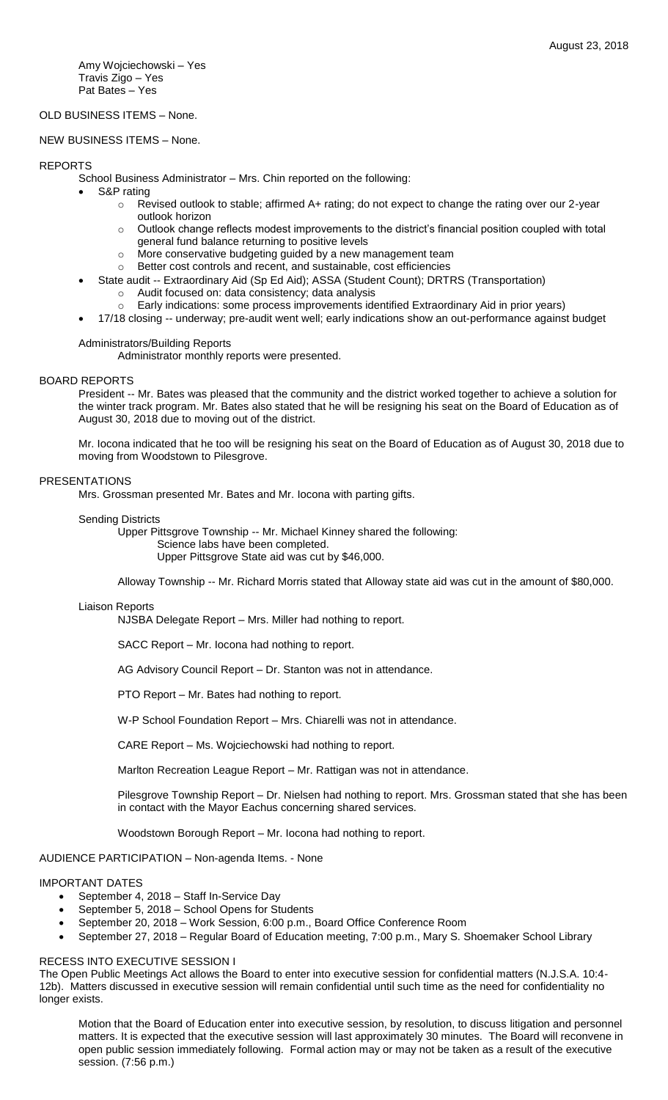Amy Wojciechowski – Yes Travis Zigo – Yes Pat Bates – Yes

# OLD BUSINESS ITEMS – None.

# NEW BUSINESS ITEMS – None.

## REPORTS

- School Business Administrator Mrs. Chin reported on the following:
	- S&P rating
		- o Revised outlook to stable; affirmed A+ rating; do not expect to change the rating over our 2-year outlook horizon
		- o Outlook change reflects modest improvements to the district's financial position coupled with total general fund balance returning to positive levels
		- o More conservative budgeting guided by a new management team
		- o Better cost controls and recent, and sustainable, cost efficiencies
- State audit -- Extraordinary Aid (Sp Ed Aid); ASSA (Student Count); DRTRS (Transportation) o Audit focused on: data consistency; data analysis
	- o Early indications: some process improvements identified Extraordinary Aid in prior years)
	- 17/18 closing -- underway; pre-audit went well; early indications show an out-performance against budget

#### Administrators/Building Reports

Administrator monthly reports were presented.

## BOARD REPORTS

President -- Mr. Bates was pleased that the community and the district worked together to achieve a solution for the winter track program. Mr. Bates also stated that he will be resigning his seat on the Board of Education as of August 30, 2018 due to moving out of the district.

Mr. Iocona indicated that he too will be resigning his seat on the Board of Education as of August 30, 2018 due to moving from Woodstown to Pilesgrove.

## PRESENTATIONS

Mrs. Grossman presented Mr. Bates and Mr. Iocona with parting gifts.

#### Sending Districts

Upper Pittsgrove Township -- Mr. Michael Kinney shared the following:

Science labs have been completed.

Upper Pittsgrove State aid was cut by \$46,000.

Alloway Township -- Mr. Richard Morris stated that Alloway state aid was cut in the amount of \$80,000.

#### Liaison Reports

NJSBA Delegate Report – Mrs. Miller had nothing to report.

SACC Report – Mr. Iocona had nothing to report.

AG Advisory Council Report – Dr. Stanton was not in attendance.

PTO Report – Mr. Bates had nothing to report.

W-P School Foundation Report – Mrs. Chiarelli was not in attendance.

CARE Report – Ms. Wojciechowski had nothing to report.

Marlton Recreation League Report – Mr. Rattigan was not in attendance.

Pilesgrove Township Report – Dr. Nielsen had nothing to report. Mrs. Grossman stated that she has been in contact with the Mayor Eachus concerning shared services.

Woodstown Borough Report – Mr. Iocona had nothing to report.

# AUDIENCE PARTICIPATION – Non-agenda Items. - None

# IMPORTANT DATES

- September 4, 2018 Staff In-Service Day
- September 5, 2018 School Opens for Students
- September 20, 2018 Work Session, 6:00 p.m., Board Office Conference Room
- September 27, 2018 Regular Board of Education meeting, 7:00 p.m., Mary S. Shoemaker School Library

#### RECESS INTO EXECUTIVE SESSION I

The Open Public Meetings Act allows the Board to enter into executive session for confidential matters (N.J.S.A. 10:4- 12b). Matters discussed in executive session will remain confidential until such time as the need for confidentiality no longer exists.

Motion that the Board of Education enter into executive session, by resolution, to discuss litigation and personnel matters. It is expected that the executive session will last approximately 30 minutes. The Board will reconvene in open public session immediately following. Formal action may or may not be taken as a result of the executive session. (7:56 p.m.)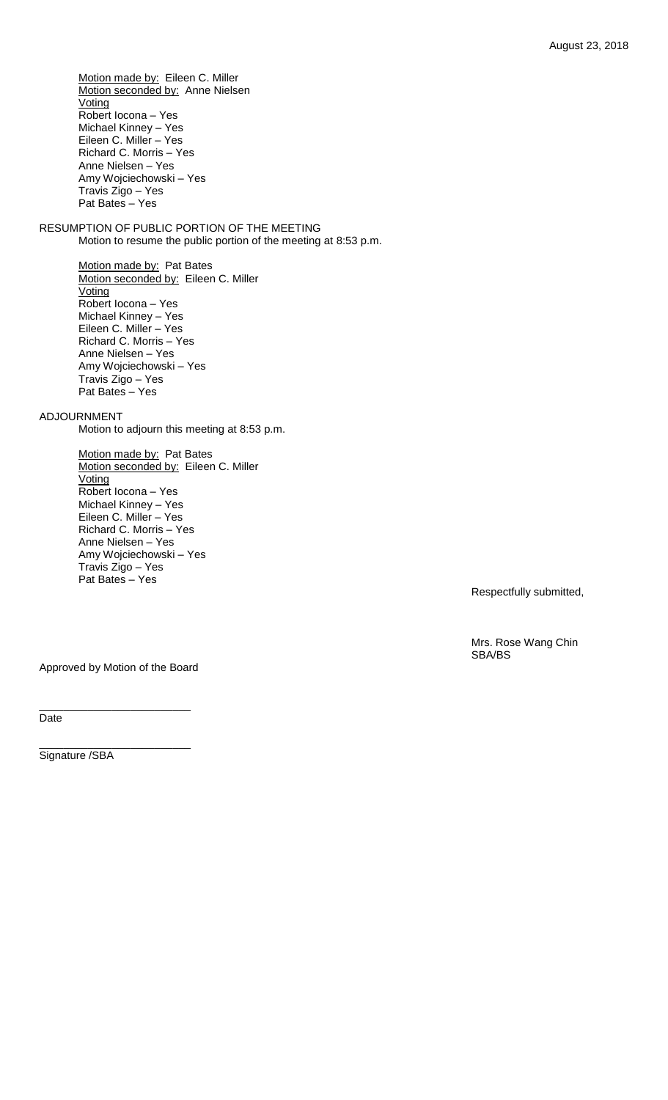Motion made by: Eileen C. Miller Motion seconded by: Anne Nielsen **Voting** Robert Iocona – Yes Michael Kinney – Yes Eileen C. Miller – Yes Richard C. Morris – Yes Anne Nielsen – Yes Amy Wojciechowski – Yes Travis Zigo – Yes Pat Bates – Yes

RESUMPTION OF PUBLIC PORTION OF THE MEETING Motion to resume the public portion of the meeting at 8:53 p.m.

> Motion made by: Pat Bates Motion seconded by: Eileen C. Miller Voting Robert Iocona – Yes Michael Kinney – Yes Eileen C. Miller – Yes Richard C. Morris – Yes Anne Nielsen – Yes Amy Wojciechowski – Yes Travis Zigo – Yes Pat Bates – Yes

ADJOURNMENT

Motion to adjourn this meeting at 8:53 p.m.

Motion made by: Pat Bates Motion seconded by: Eileen C. Miller **Voting** Robert Iocona – Yes Michael Kinney – Yes Eileen C. Miller – Yes Richard C. Morris – Yes Anne Nielsen – Yes Amy Wojciechowski – Yes Travis Zigo – Yes Pat Bates – Yes

Respectfully submitted,

Mrs. Rose Wang Chin SBA/BS

Approved by Motion of the Board

\_\_\_\_\_\_\_\_\_\_\_\_\_\_\_\_\_\_\_\_\_\_\_\_\_

\_\_\_\_\_\_\_\_\_\_\_\_\_\_\_\_\_\_\_\_\_\_\_\_\_

Date

Signature /SBA